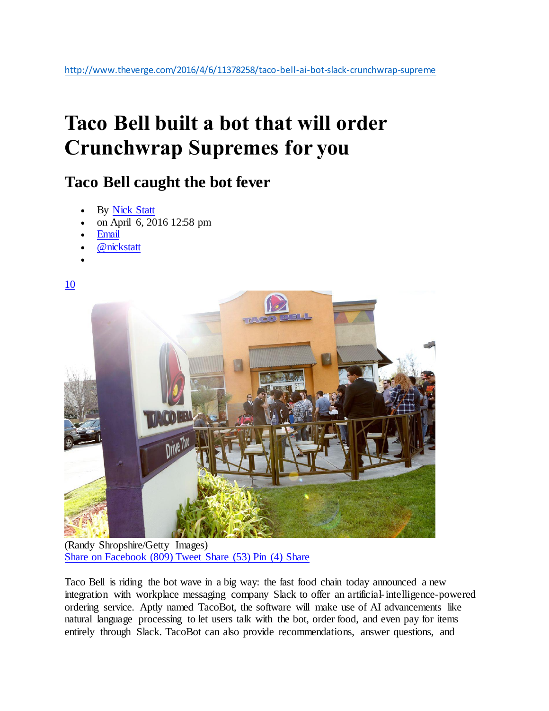## **Taco Bell built a bot that will order Crunchwrap Supremes for you**

## **Taco Bell caught the bot fever**

- By [Nick Statt](http://www.theverge.com/users/nickstatt)
- on April 6, 2016 12:58 pm
- [Email](mailto:nick.statt@theverge.com)
- [@nickstatt](https://twitter.com/intent/user?screen_name=nickstatt)

[10](http://www.theverge.com/2016/4/6/11378258/taco-bell-ai-bot-slack-crunchwrap-supreme#comments)

 $\bullet$ 



(Randy Shropshire/Getty Images) [Share on Facebook](https://www.facebook.com/sharer/sharer.php?u=http%3A%2F%2Fwww.theverge.com%2F2016%2F4%2F6%2F11378258%2Ftaco-bell-ai-bot-slack-crunchwrap-supreme) (809) [Tweet](https://www.facebook.com/sharer/sharer.php?u=http%3A%2F%2Fwww.theverge.com%2F2016%2F4%2F6%2F11378258%2Ftaco-bell-ai-bot-slack-crunchwrap-supreme) [Share](whatsapp://send/?text=Taco%20Bell%20built%20a%20bot%20that%20will%20order%20Crunchwrap%20Supremes%20for%20you%20http://www.theverge.com/2016/4/6/11378258/taco-bell-ai-bot-slack-crunchwrap-supreme) (53) [Pin](http://www.linkedin.com/shareArticle?mini=true&source=The+Verge&summary=Taco+Bell+built+a+bot+that+will+order+Crunchwrap+Supremes+for+you&title=Taco+Bell+built+a+bot+that+will+order+Crunchwrap+Supremes+for+you&url=http%3A%2F%2Fwww.theverge.com%2F2016%2F4%2F6%2F11378258%2Ftaco-bell-ai-bot-slack-crunchwrap-supreme) (4) Share

Taco Bell is riding the bot wave in a big way: the fast food chain today announced a new integration with workplace messaging company Slack to offer an artificial-intelligence-powered ordering service. Aptly named TacoBot, the software will make use of AI advancements like natural language processing to let users talk with the bot, order food, and even pay for items entirely through Slack. TacoBot can also provide recommendations, answer questions, and